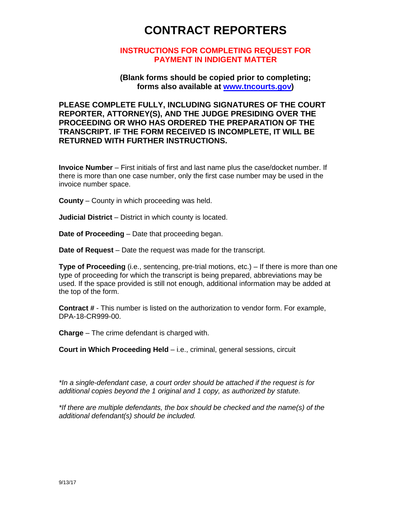# **CONTRACT REPORTERS**

### **INSTRUCTIONS FOR COMPLETING REQUEST FOR PAYMENT IN INDIGENT MATTER**

### **(Blank forms should be copied prior to completing; forms also available at [www.tncourts.gov\)](http://www.tncourts.gov/)**

## **PLEASE COMPLETE FULLY, INCLUDING SIGNATURES OF THE COURT REPORTER, ATTORNEY(S), AND THE JUDGE PRESIDING OVER THE PROCEEDING OR WHO HAS ORDERED THE PREPARATION OF THE TRANSCRIPT. IF THE FORM RECEIVED IS INCOMPLETE, IT WILL BE RETURNED WITH FURTHER INSTRUCTIONS.**

**Invoice Number** – First initials of first and last name plus the case/docket number. If there is more than one case number, only the first case number may be used in the invoice number space.

**County** – County in which proceeding was held.

**Judicial District** – District in which county is located.

**Date of Proceeding** – Date that proceeding began.

**Date of Request** – Date the request was made for the transcript.

**Type of Proceeding** (i.e., sentencing, pre-trial motions, etc.) – If there is more than one type of proceeding for which the transcript is being prepared, abbreviations may be used. If the space provided is still not enough, additional information may be added at the top of the form.

**Contract #** - This number is listed on the authorization to vendor form. For example, DPA-18-CR999-00.

**Charge** – The crime defendant is charged with.

**Court in Which Proceeding Held** – i.e., criminal, general sessions, circuit

*\*In a single-defendant case, a court order should be attached if the request is for additional copies beyond the 1 original and 1 copy, as authorized by statute.*

*\*If there are multiple defendants, the box should be checked and the name(s) of the additional defendant(s) should be included.*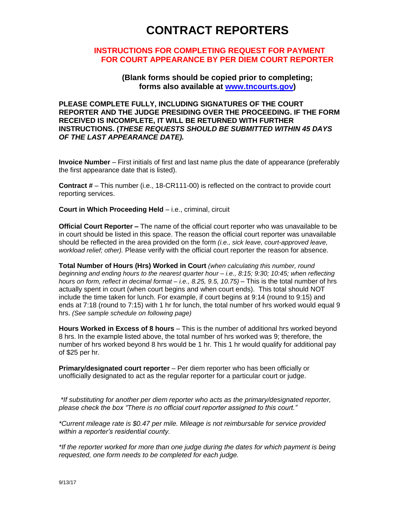## **CONTRACT REPORTERS**

#### **INSTRUCTIONS FOR COMPLETING REQUEST FOR PAYMENT FOR COURT APPEARANCE BY PER DIEM COURT REPORTER**

**(Blank forms should be copied prior to completing; forms also available at [www.tncourts.gov\)](http://www.tsc.state.tn.us/)**

**PLEASE COMPLETE FULLY, INCLUDING SIGNATURES OF THE COURT REPORTER AND THE JUDGE PRESIDING OVER THE PROCEEDING. IF THE FORM RECEIVED IS INCOMPLETE, IT WILL BE RETURNED WITH FURTHER INSTRUCTIONS. (***THESE REQUESTS SHOULD BE SUBMITTED WITHIN 45 DAYS OF THE LAST APPEARANCE DATE).*

**Invoice Number** – First initials of first and last name plus the date of appearance (preferably the first appearance date that is listed).

**Contract #** – This number (i.e., 18-CR111-00) is reflected on the contract to provide court reporting services.

**Court in Which Proceeding Held** – i.e., criminal, circuit

**Official Court Reporter –** The name of the official court reporter who was unavailable to be in court should be listed in this space. The reason the official court reporter was unavailable should be reflected in the area provided on the form *(i.e., sick leave, court-approved leave, workload relief; other).* Please verify with the official court reporter the reason for absence.

**Total Number of Hours (Hrs) Worked in Court** *(when calculating this number, round beginning and ending hours to the nearest quarter hour – i.e., 8:15; 9:30; 10:45; when reflecting hours on form, reflect in decimal format – i.e., 8.25, 9.5, 10.75)* – This is the total number of hrs actually spent in court (when court begins and when court ends). This total should NOT include the time taken for lunch. For example, if court begins at 9:14 (round to 9:15) and ends at 7:18 (round to 7:15) with 1 hr for lunch, the total number of hrs worked would equal 9 hrs. *(See sample schedule on following page)*

**Hours Worked in Excess of 8 hours** – This is the number of additional hrs worked beyond 8 hrs. In the example listed above, the total number of hrs worked was 9; therefore, the number of hrs worked beyond 8 hrs would be 1 hr. This 1 hr would qualify for additional pay of \$25 per hr.

**Primary/designated court reporter** – Per diem reporter who has been officially or unofficially designated to act as the regular reporter for a particular court or judge.

*\*If substituting for another per diem reporter who acts as the primary/designated reporter, please check the box "There is no official court reporter assigned to this court."*

*\*Current mileage rate is \$0.47 per mile. Mileage is not reimbursable for service provided within a reporter's residential county.* 

*\*If the reporter worked for more than one judge during the dates for which payment is being requested, one form needs to be completed for each judge.*